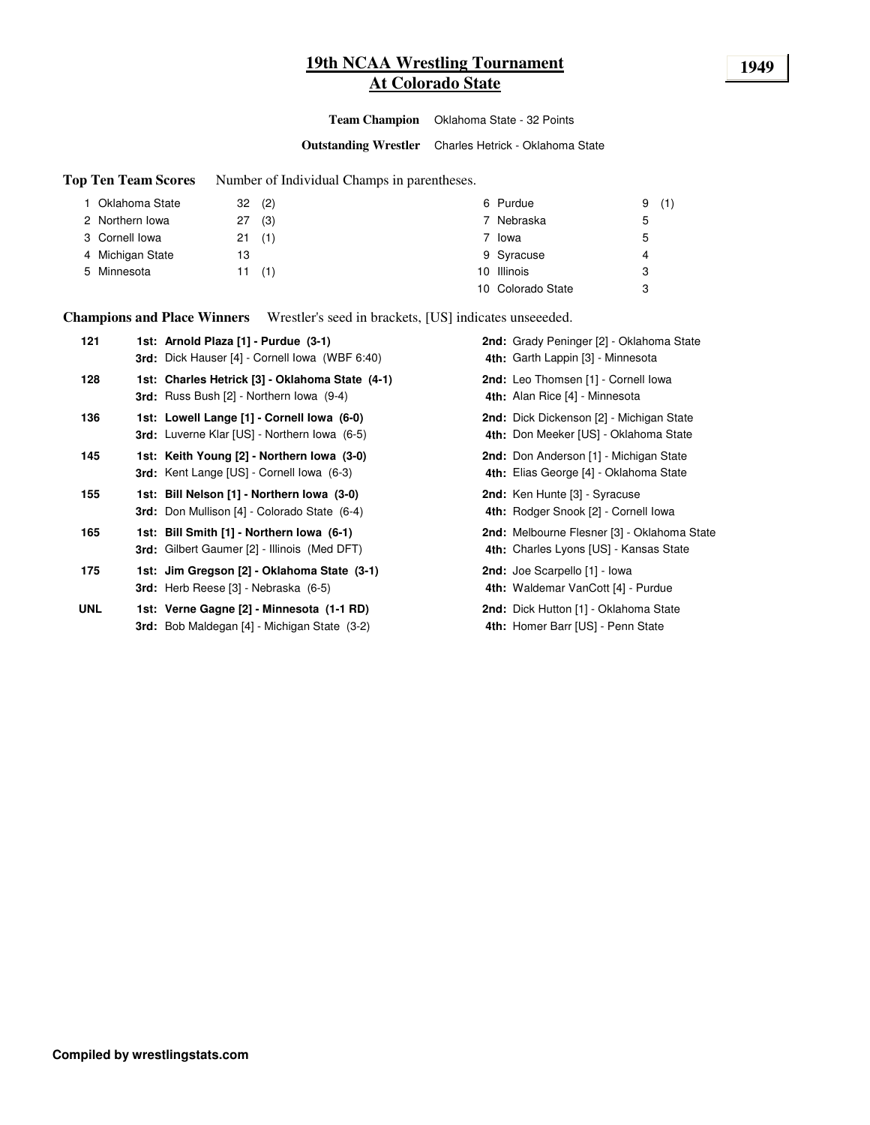# **19th NCAA Wrestling Tournament 1949 At Colorado State**

**Team Champion** Oklahoma State - 32 Points

**Outstanding Wrestler** Charles Hetrick - Oklahoma State

**Top Ten Team Scores** Number of Individual Champs in parentheses.

| 1 Oklahoma State | 32(2)     | 6 Purdue          | (1)<br>9 |
|------------------|-----------|-------------------|----------|
| 2 Northern Iowa  | (3)<br>27 | 7 Nebraska        | ხ        |
| 3 Cornell lowa   | (1)<br>21 | Iowa              | 5        |
| 4 Michigan State | 13        | 9 Syracuse        | 4        |
| 5 Minnesota      | 11(1)     | 10 Illinois       | 3        |
|                  |           | 10 Colorado State | 3        |

**Champions and Place Winners** Wrestler's seed in brackets, [US] indicates unseeeded.

| 121        | 1st: Arnold Plaza [1] - Purdue (3-1)<br>3rd: Dick Hauser [4] - Cornell Iowa (WBF 6:40)            | 2nd: Grady Peninger [2] - Oklahoma State<br>4th: Garth Lappin [3] - Minnesota         |
|------------|---------------------------------------------------------------------------------------------------|---------------------------------------------------------------------------------------|
| 128        | 1st: Charles Hetrick [3] - Oklahoma State (4-1)<br>3rd: Russ Bush [2] - Northern Iowa (9-4)       | 2nd: Leo Thomsen [1] - Cornell lowa<br>4th: Alan Rice [4] - Minnesota                 |
| 136        | 1st: Lowell Lange [1] - Cornell lowa (6-0)<br>3rd: Luverne Klar [US] - Northern Iowa (6-5)        | 2nd: Dick Dickenson [2] - Michigan State<br>4th: Don Meeker [US] - Oklahoma State     |
| 145        | 1st: Keith Young [2] - Northern Iowa (3-0)<br><b>3rd:</b> Kent Lange [US] - Cornell Iowa (6-3)    | 2nd: Don Anderson [1] - Michigan State<br>4th: Elias George [4] - Oklahoma State      |
| 155        | 1st: Bill Nelson [1] - Northern Iowa (3-0)<br><b>3rd:</b> Don Mullison [4] - Colorado State (6-4) | 2nd: Ken Hunte [3] - Syracuse<br>4th: Rodger Snook [2] - Cornell lowa                 |
| 165        | 1st: Bill Smith [1] - Northern Iowa (6-1)<br><b>3rd:</b> Gilbert Gaumer [2] - Illinois (Med DFT)  | 2nd: Melbourne Flesner [3] - Oklahoma State<br>4th: Charles Lyons [US] - Kansas State |
| 175        | 1st: Jim Gregson [2] - Oklahoma State (3-1)<br><b>3rd:</b> Herb Reese [3] - Nebraska (6-5)        | 2nd: Joe Scarpello [1] - Iowa<br>4th: Waldemar VanCott [4] - Purdue                   |
| <b>UNL</b> | 1st: Verne Gagne [2] - Minnesota (1-1 RD)<br><b>3rd:</b> Bob Maldegan [4] - Michigan State (3-2)  | 2nd: Dick Hutton [1] - Oklahoma State<br>4th: Homer Barr [US] - Penn State            |
|            |                                                                                                   |                                                                                       |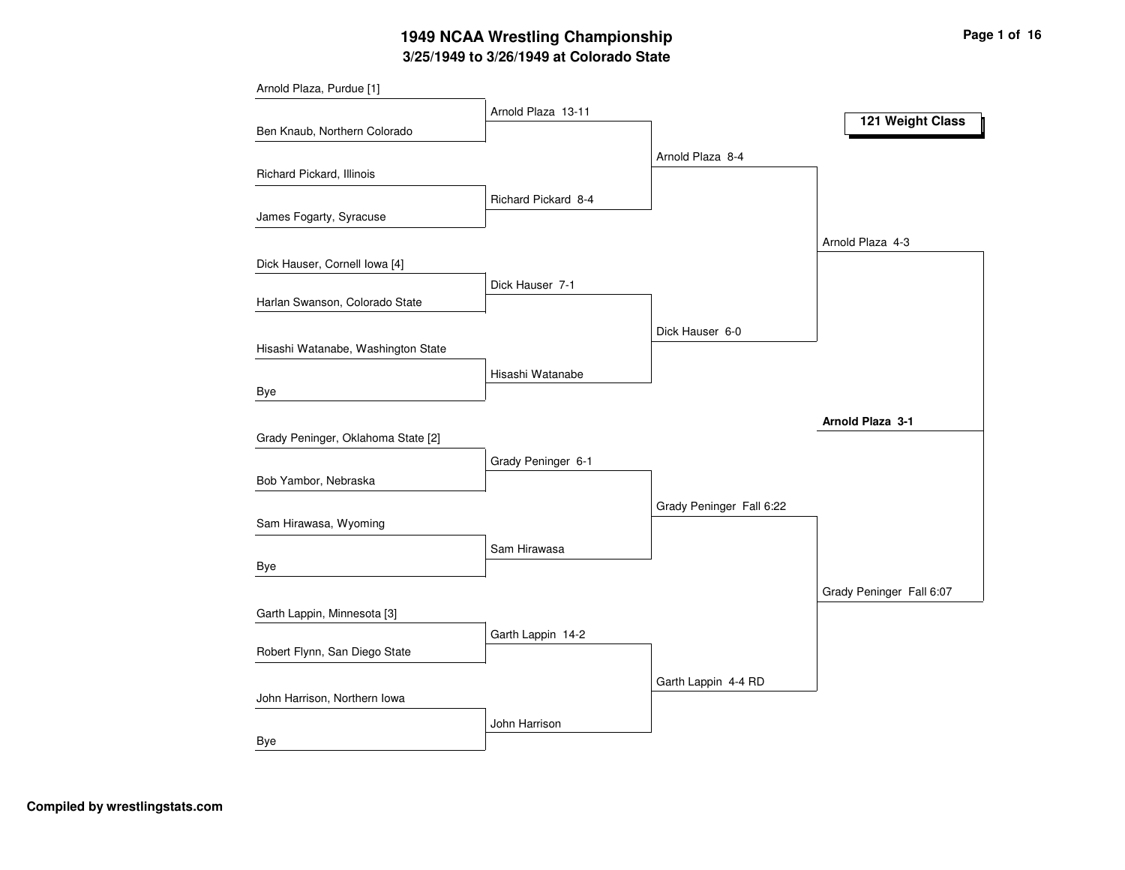# **3/25/1949 to 3/26/1949 at Colorado State 1949 NCAA Wrestling Championship Page <sup>1</sup> of <sup>16</sup>**

| Arnold Plaza, Purdue [1]           |                     |                          |                          |
|------------------------------------|---------------------|--------------------------|--------------------------|
|                                    | Arnold Plaza 13-11  |                          | 121 Weight Class         |
| Ben Knaub, Northern Colorado       |                     |                          |                          |
|                                    |                     | Arnold Plaza 8-4         |                          |
| Richard Pickard, Illinois          |                     |                          |                          |
|                                    | Richard Pickard 8-4 |                          |                          |
| James Fogarty, Syracuse            |                     |                          |                          |
|                                    |                     |                          | Arnold Plaza 4-3         |
| Dick Hauser, Cornell Iowa [4]      |                     |                          |                          |
|                                    | Dick Hauser 7-1     |                          |                          |
| Harlan Swanson, Colorado State     |                     |                          |                          |
|                                    |                     | Dick Hauser 6-0          |                          |
| Hisashi Watanabe, Washington State |                     |                          |                          |
|                                    | Hisashi Watanabe    |                          |                          |
| Bye                                |                     |                          |                          |
|                                    |                     |                          | Arnold Plaza 3-1         |
| Grady Peninger, Oklahoma State [2] |                     |                          |                          |
|                                    | Grady Peninger 6-1  |                          |                          |
| Bob Yambor, Nebraska               |                     |                          |                          |
|                                    |                     | Grady Peninger Fall 6:22 |                          |
| Sam Hirawasa, Wyoming              |                     |                          |                          |
|                                    | Sam Hirawasa        |                          |                          |
| Bye                                |                     |                          |                          |
|                                    |                     |                          | Grady Peninger Fall 6:07 |
| Garth Lappin, Minnesota [3]        |                     |                          |                          |
| Robert Flynn, San Diego State      | Garth Lappin 14-2   |                          |                          |
|                                    |                     |                          |                          |
|                                    |                     | Garth Lappin 4-4 RD      |                          |
| John Harrison, Northern Iowa       |                     |                          |                          |
|                                    | John Harrison       |                          |                          |
| Bye                                |                     |                          |                          |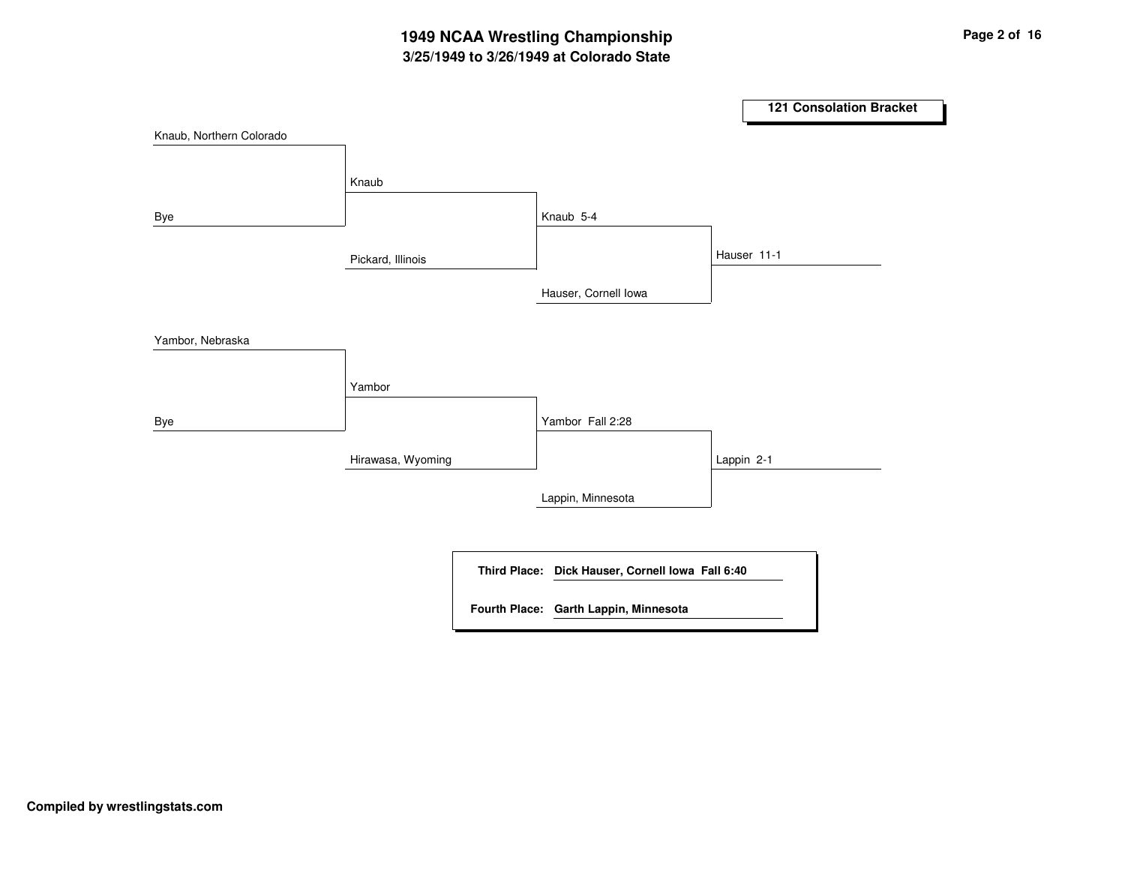#### **3/25/1949 to 3/26/1949 at Colorado State 1949 NCAA Wrestling Championship Page <sup>2</sup> of <sup>16</sup>**

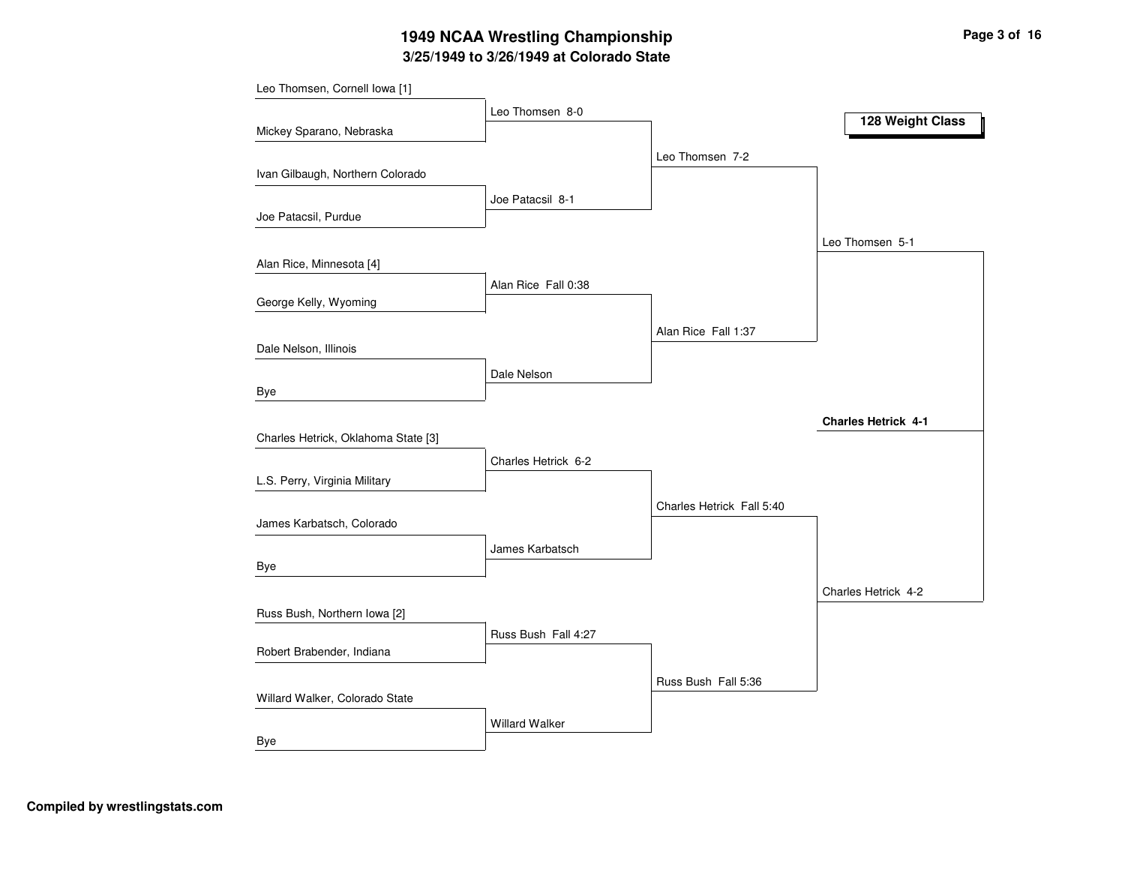# **3/25/1949 to 3/26/1949 at Colorado State 1949 NCAA Wrestling Championship Page <sup>3</sup> of <sup>16</sup>**

| Leo Thomsen, Cornell Iowa [1]       |                     |                           |                            |
|-------------------------------------|---------------------|---------------------------|----------------------------|
|                                     | Leo Thomsen 8-0     |                           | 128 Weight Class           |
| Mickey Sparano, Nebraska            |                     |                           |                            |
|                                     |                     | Leo Thomsen 7-2           |                            |
| Ivan Gilbaugh, Northern Colorado    |                     |                           |                            |
|                                     | Joe Patacsil 8-1    |                           |                            |
| Joe Patacsil, Purdue                |                     |                           |                            |
|                                     |                     |                           | Leo Thomsen 5-1            |
| Alan Rice, Minnesota [4]            |                     |                           |                            |
| George Kelly, Wyoming               | Alan Rice Fall 0:38 |                           |                            |
|                                     |                     |                           |                            |
| Dale Nelson, Illinois               |                     | Alan Rice Fall 1:37       |                            |
|                                     |                     |                           |                            |
| Bye                                 | Dale Nelson         |                           |                            |
|                                     |                     |                           |                            |
| Charles Hetrick, Oklahoma State [3] |                     |                           | <b>Charles Hetrick 4-1</b> |
|                                     | Charles Hetrick 6-2 |                           |                            |
| L.S. Perry, Virginia Military       |                     |                           |                            |
|                                     |                     | Charles Hetrick Fall 5:40 |                            |
| James Karbatsch, Colorado           |                     |                           |                            |
|                                     | James Karbatsch     |                           |                            |
| Bye                                 |                     |                           |                            |
|                                     |                     |                           | Charles Hetrick 4-2        |
| Russ Bush, Northern Iowa [2]        |                     |                           |                            |
|                                     | Russ Bush Fall 4:27 |                           |                            |
| Robert Brabender, Indiana           |                     |                           |                            |
|                                     |                     | Russ Bush Fall 5:36       |                            |
| Willard Walker, Colorado State      |                     |                           |                            |
|                                     | Willard Walker      |                           |                            |
| Bye                                 |                     |                           |                            |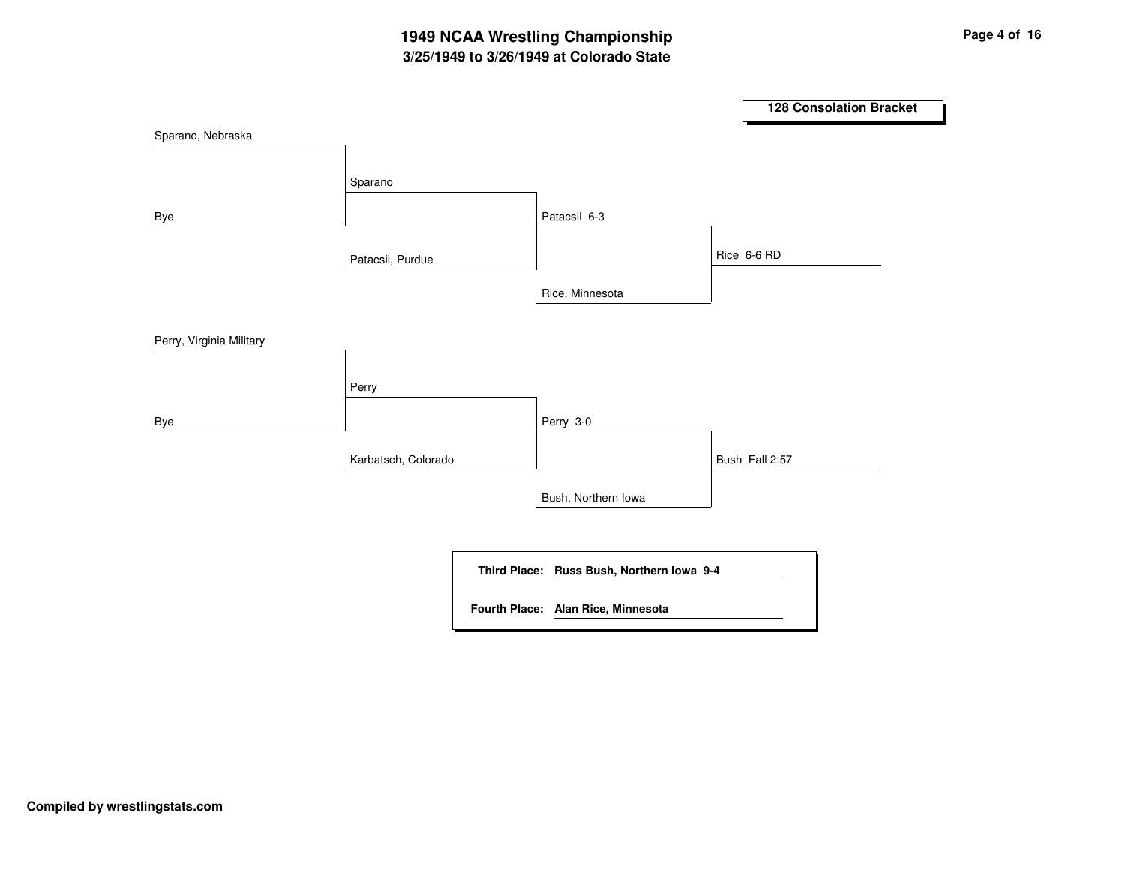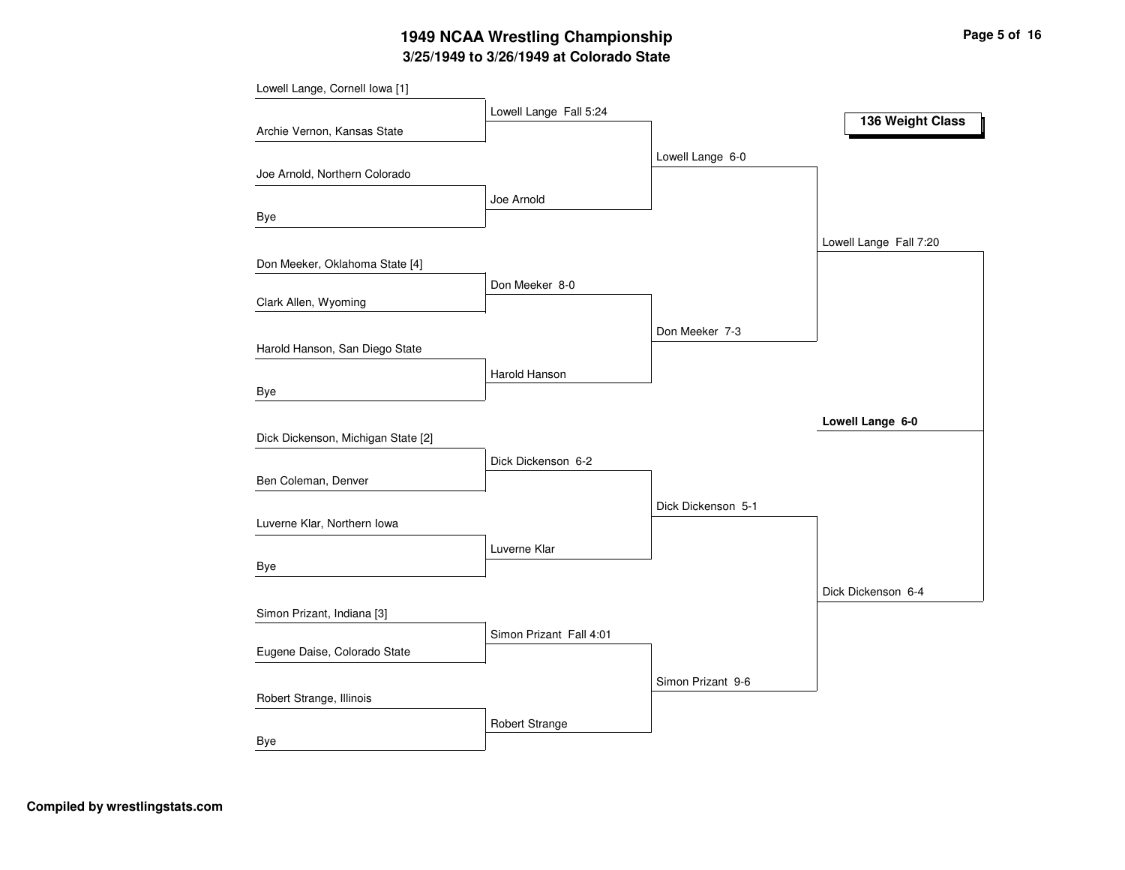# **3/25/1949 to 3/26/1949 at Colorado State 1949 NCAA Wrestling Championship Page <sup>5</sup> of <sup>16</sup>**

| Lowell Lange, Cornell Iowa [1]     |                         |                    |                        |
|------------------------------------|-------------------------|--------------------|------------------------|
|                                    | Lowell Lange Fall 5:24  |                    | 136 Weight Class       |
| Archie Vernon, Kansas State        |                         |                    |                        |
|                                    |                         | Lowell Lange 6-0   |                        |
| Joe Arnold, Northern Colorado      |                         |                    |                        |
|                                    | Joe Arnold              |                    |                        |
| Bye                                |                         |                    |                        |
|                                    |                         |                    | Lowell Lange Fall 7:20 |
| Don Meeker, Oklahoma State [4]     |                         |                    |                        |
| Clark Allen, Wyoming               | Don Meeker 8-0          |                    |                        |
|                                    |                         |                    |                        |
| Harold Hanson, San Diego State     |                         | Don Meeker 7-3     |                        |
|                                    | Harold Hanson           |                    |                        |
| Bye                                |                         |                    |                        |
|                                    |                         |                    |                        |
| Dick Dickenson, Michigan State [2] |                         |                    | Lowell Lange 6-0       |
|                                    | Dick Dickenson 6-2      |                    |                        |
| Ben Coleman, Denver                |                         |                    |                        |
|                                    |                         | Dick Dickenson 5-1 |                        |
| Luverne Klar, Northern Iowa        |                         |                    |                        |
|                                    | Luverne Klar            |                    |                        |
| Bye                                |                         |                    |                        |
|                                    |                         |                    | Dick Dickenson 6-4     |
| Simon Prizant, Indiana [3]         |                         |                    |                        |
|                                    | Simon Prizant Fall 4:01 |                    |                        |
| Eugene Daise, Colorado State       |                         |                    |                        |
|                                    |                         | Simon Prizant 9-6  |                        |
| Robert Strange, Illinois           |                         |                    |                        |
|                                    | Robert Strange          |                    |                        |
| Bye                                |                         |                    |                        |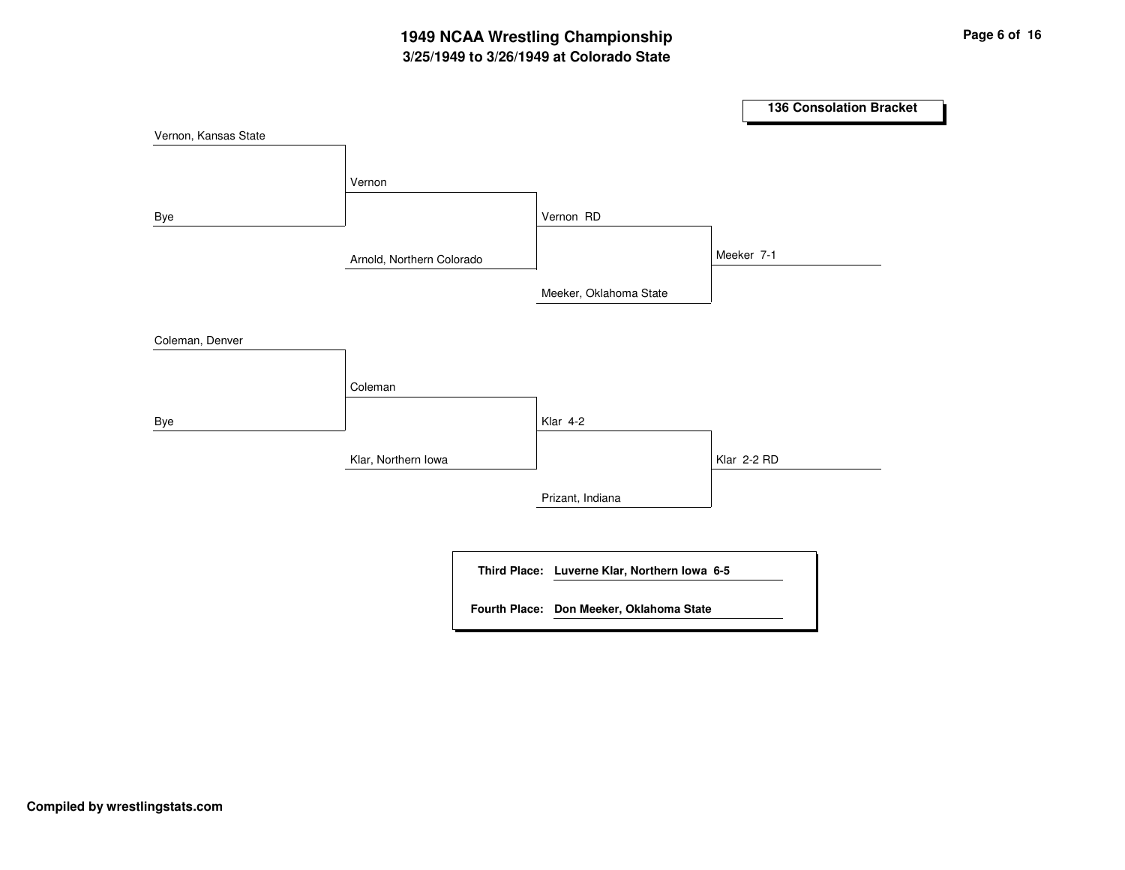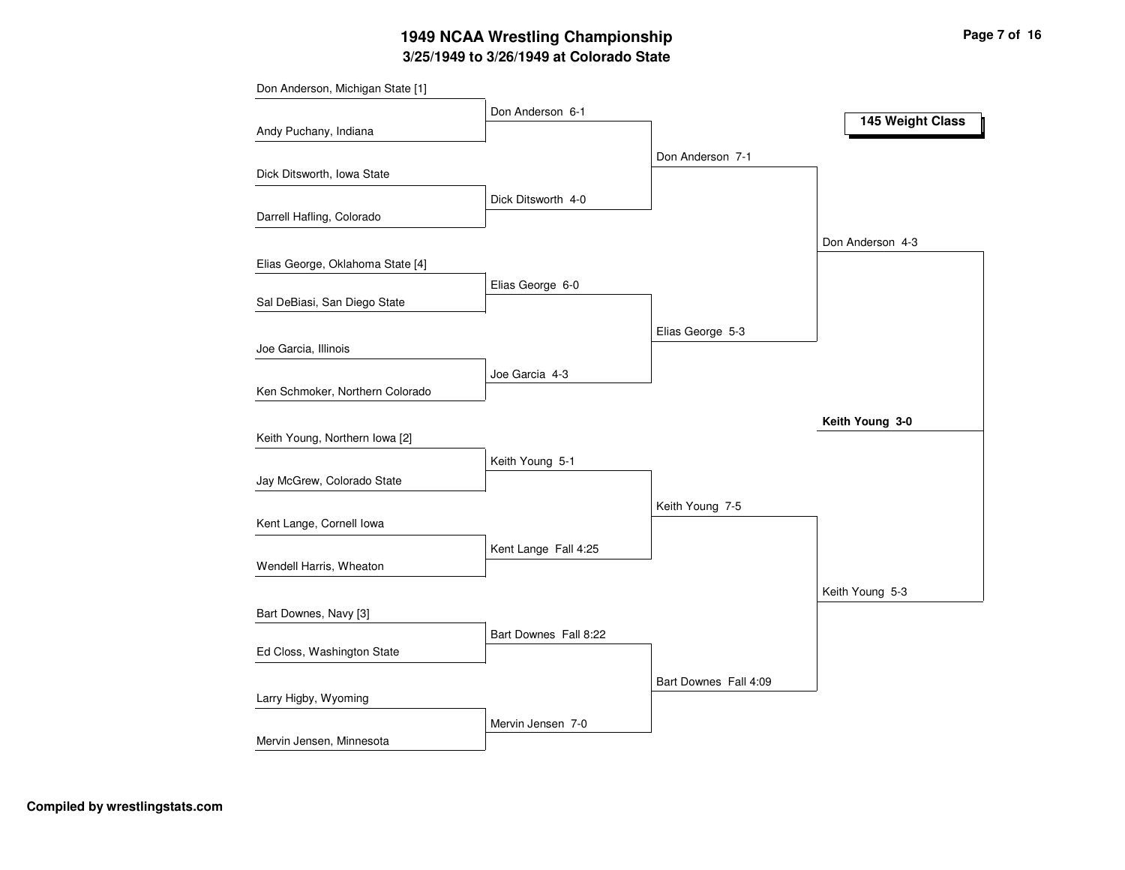# **3/25/1949 to 3/26/1949 at Colorado State 1949 NCAA Wrestling Championship Page <sup>7</sup> of <sup>16</sup>**

|                                  | Don Anderson 6-1      |                       |                  |
|----------------------------------|-----------------------|-----------------------|------------------|
| Andy Puchany, Indiana            |                       |                       | 145 Weight Class |
|                                  |                       | Don Anderson 7-1      |                  |
| Dick Ditsworth, Iowa State       |                       |                       |                  |
|                                  | Dick Ditsworth 4-0    |                       |                  |
| Darrell Hafling, Colorado        |                       |                       |                  |
|                                  |                       |                       | Don Anderson 4-3 |
| Elias George, Oklahoma State [4] |                       |                       |                  |
| Sal DeBiasi, San Diego State     | Elias George 6-0      |                       |                  |
|                                  |                       |                       |                  |
|                                  |                       | Elias George 5-3      |                  |
| Joe Garcia, Illinois             |                       |                       |                  |
| Ken Schmoker, Northern Colorado  | Joe Garcia 4-3        |                       |                  |
|                                  |                       |                       |                  |
|                                  |                       |                       | Keith Young 3-0  |
| Keith Young, Northern Iowa [2]   |                       |                       |                  |
| Jay McGrew, Colorado State       | Keith Young 5-1       |                       |                  |
|                                  |                       |                       |                  |
| Kent Lange, Cornell Iowa         |                       | Keith Young 7-5       |                  |
|                                  |                       |                       |                  |
| Wendell Harris, Wheaton          | Kent Lange Fall 4:25  |                       |                  |
|                                  |                       |                       | Keith Young 5-3  |
| Bart Downes, Navy [3]            |                       |                       |                  |
|                                  | Bart Downes Fall 8:22 |                       |                  |
| Ed Closs, Washington State       |                       |                       |                  |
|                                  |                       | Bart Downes Fall 4:09 |                  |
| Larry Higby, Wyoming             |                       |                       |                  |
|                                  | Mervin Jensen 7-0     |                       |                  |
| Mervin Jensen, Minnesota         |                       |                       |                  |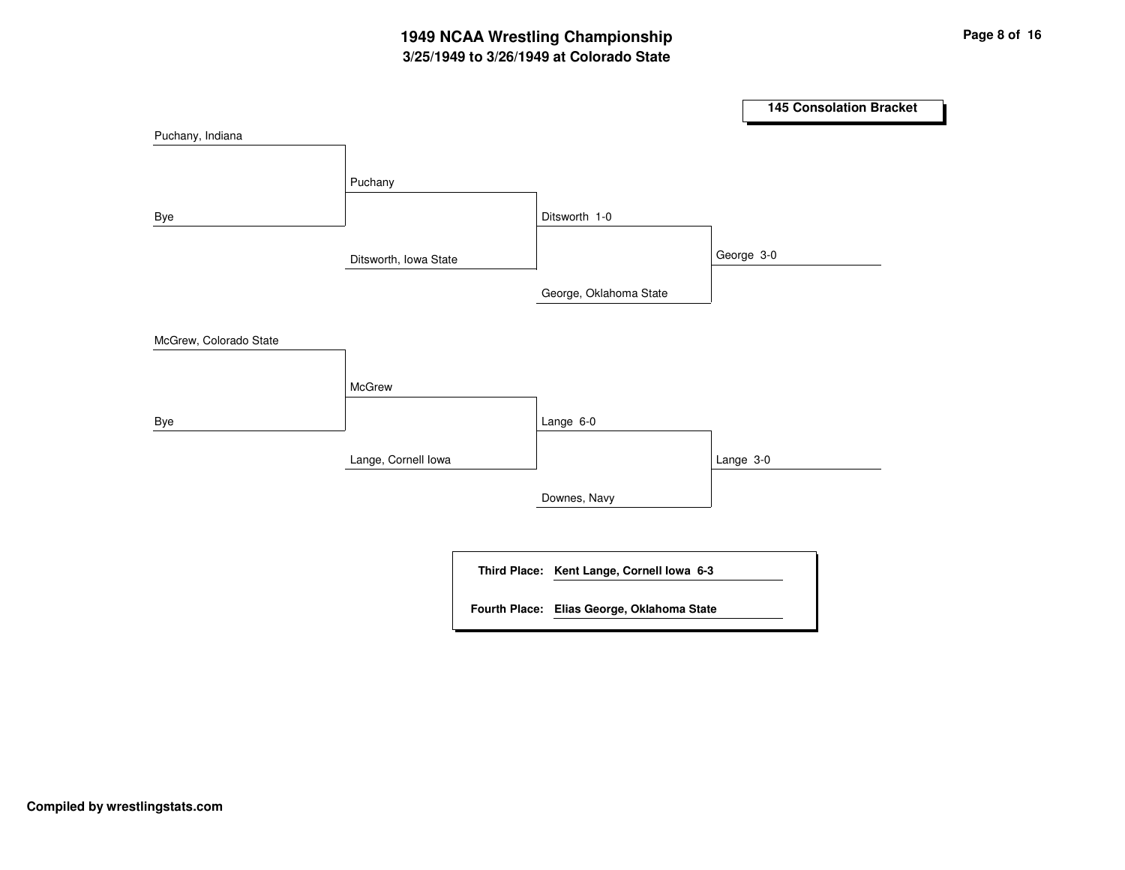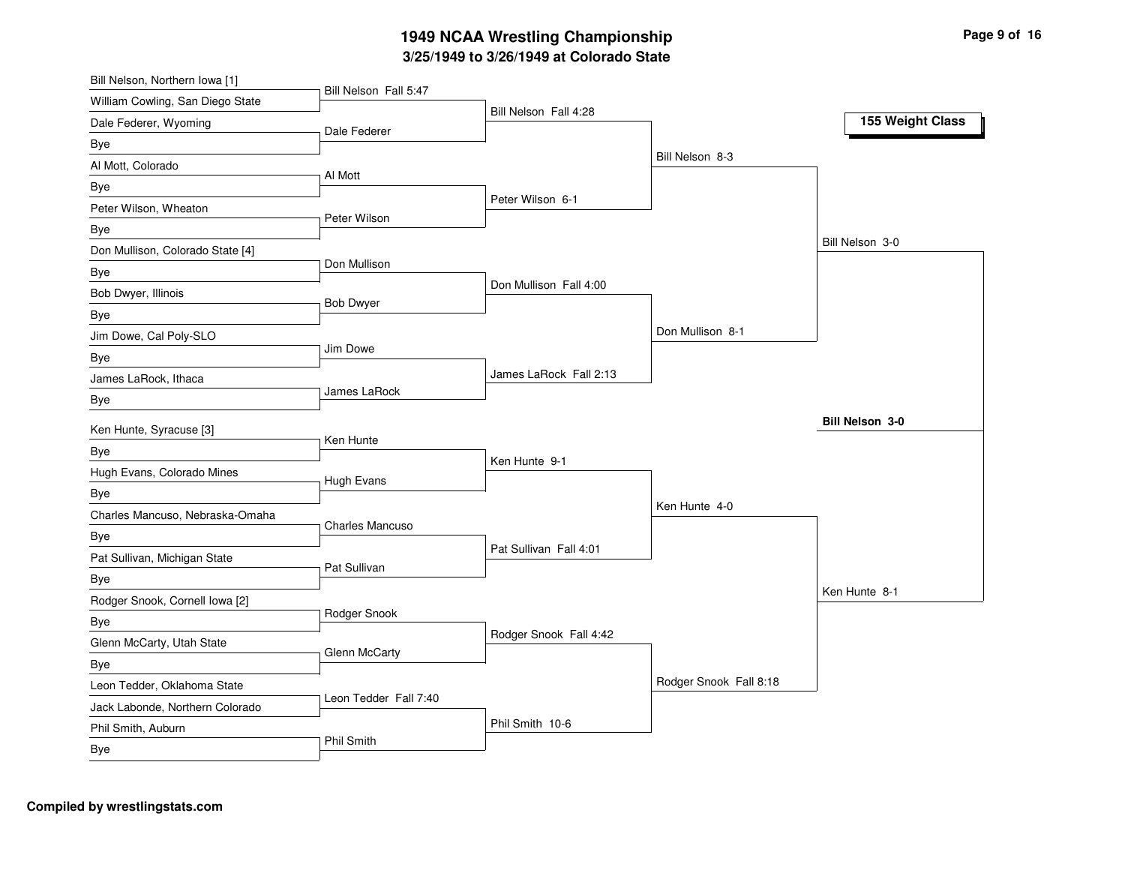#### **3/2 5/19 4 9 to 3/2 6/19 4 9 at C olora d o State 19 4 9 N C A A Wre stlin g C h a m pio n s hip**

| Bill Nelson, Northern Iowa [1]        |                        |                        |                        |                        |
|---------------------------------------|------------------------|------------------------|------------------------|------------------------|
| William Cowling, San Diego State      | Bill Nelson Fall 5:47  |                        |                        |                        |
| Dale Federer, Wyoming                 | Dale Federer           | Bill Nelson Fall 4:28  |                        | 155 Weight Class       |
| Bye                                   |                        |                        |                        |                        |
| Al Mott, Colorado                     |                        |                        | Bill Nelson 8-3        |                        |
| Bye                                   | Al Mott                |                        |                        |                        |
| Peter Wilson, Wheaton                 |                        | Peter Wilson 6-1       |                        |                        |
| Bye                                   | Peter Wilson           |                        |                        |                        |
| Don Mullison, Colorado State [4]      |                        |                        |                        | Bill Nelson 3-0        |
| Bye                                   | Don Mullison           |                        |                        |                        |
| Bob Dwyer, Illinois                   |                        | Don Mullison Fall 4:00 |                        |                        |
| Bye                                   | <b>Bob Dwyer</b>       |                        |                        |                        |
| Jim Dowe, Cal Poly-SLO                |                        |                        | Don Mullison 8-1       |                        |
| Bye                                   | Jim Dowe               |                        |                        |                        |
| James LaRock, Ithaca                  |                        | James LaRock Fall 2:13 |                        |                        |
| Bye                                   | James LaRock           |                        |                        |                        |
| Ken Hunte, Syracuse [3]               |                        |                        |                        | <b>Bill Nelson 3-0</b> |
|                                       | Ken Hunte              |                        |                        |                        |
| Bye<br>Hugh Evans, Colorado Mines     |                        | Ken Hunte 9-1          |                        |                        |
| Bye                                   | Hugh Evans             |                        |                        |                        |
| Charles Mancuso, Nebraska-Omaha       |                        |                        | Ken Hunte 4-0          |                        |
| Bye                                   | <b>Charles Mancuso</b> |                        |                        |                        |
| Pat Sullivan, Michigan State          |                        | Pat Sullivan Fall 4:01 |                        |                        |
|                                       | Pat Sullivan           |                        |                        |                        |
| Bye<br>Rodger Snook, Cornell Iowa [2] |                        |                        |                        | Ken Hunte 8-1          |
|                                       | Rodger Snook           |                        |                        |                        |
| Bye<br>Glenn McCarty, Utah State      |                        | Rodger Snook Fall 4:42 |                        |                        |
|                                       | Glenn McCarty          |                        |                        |                        |
| Bye<br>Leon Tedder, Oklahoma State    |                        |                        | Rodger Snook Fall 8:18 |                        |
|                                       | Leon Tedder Fall 7:40  |                        |                        |                        |
| Jack Labonde, Northern Colorado       |                        | Phil Smith 10-6        |                        |                        |
| Phil Smith, Auburn                    | <b>Phil Smith</b>      |                        |                        |                        |
| Bye                                   |                        |                        |                        |                        |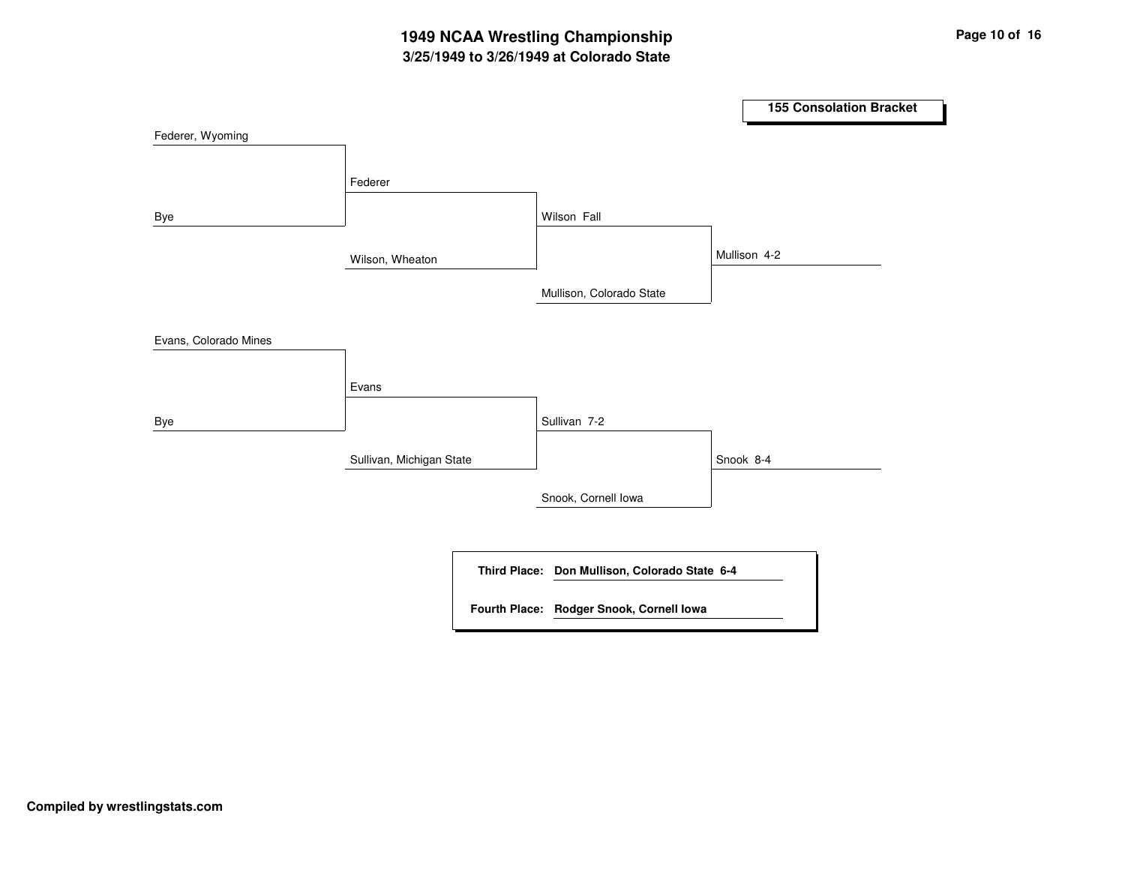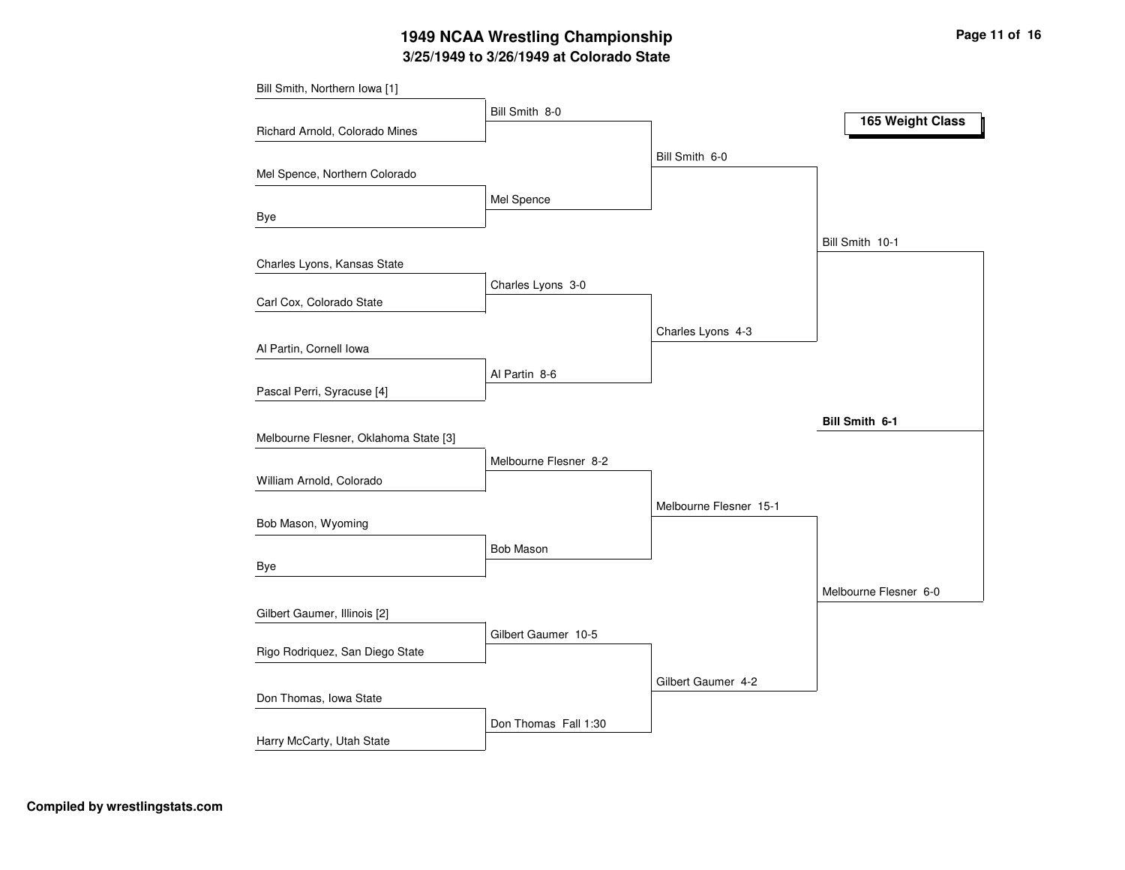### **3/25/1949 to 3/26/1949 at Colorado State 1949 NCAA Wrestling Championship Page <sup>11</sup> of <sup>16</sup>**

| Bill Smith, Northern Iowa [1]         |                       |                        |                       |
|---------------------------------------|-----------------------|------------------------|-----------------------|
|                                       | Bill Smith 8-0        |                        | 165 Weight Class      |
| Richard Arnold, Colorado Mines        |                       |                        |                       |
|                                       |                       | Bill Smith 6-0         |                       |
| Mel Spence, Northern Colorado         |                       |                        |                       |
|                                       | Mel Spence            |                        |                       |
| Bye                                   |                       |                        |                       |
|                                       |                       |                        | Bill Smith 10-1       |
| Charles Lyons, Kansas State           |                       |                        |                       |
|                                       | Charles Lyons 3-0     |                        |                       |
| Carl Cox, Colorado State              |                       |                        |                       |
|                                       |                       | Charles Lyons 4-3      |                       |
| Al Partin, Cornell Iowa               |                       |                        |                       |
|                                       | Al Partin 8-6         |                        |                       |
| Pascal Perri, Syracuse [4]            |                       |                        |                       |
|                                       |                       |                        | Bill Smith 6-1        |
| Melbourne Flesner, Oklahoma State [3] |                       |                        |                       |
|                                       | Melbourne Flesner 8-2 |                        |                       |
| William Arnold, Colorado              |                       |                        |                       |
|                                       |                       | Melbourne Flesner 15-1 |                       |
| Bob Mason, Wyoming                    |                       |                        |                       |
|                                       | <b>Bob Mason</b>      |                        |                       |
| Bye                                   |                       |                        |                       |
|                                       |                       |                        | Melbourne Flesner 6-0 |
| Gilbert Gaumer, Illinois [2]          |                       |                        |                       |
|                                       | Gilbert Gaumer 10-5   |                        |                       |
| Rigo Rodriquez, San Diego State       |                       |                        |                       |
|                                       |                       | Gilbert Gaumer 4-2     |                       |
| Don Thomas, Iowa State                |                       |                        |                       |
|                                       | Don Thomas Fall 1:30  |                        |                       |
| Harry McCarty, Utah State             |                       |                        |                       |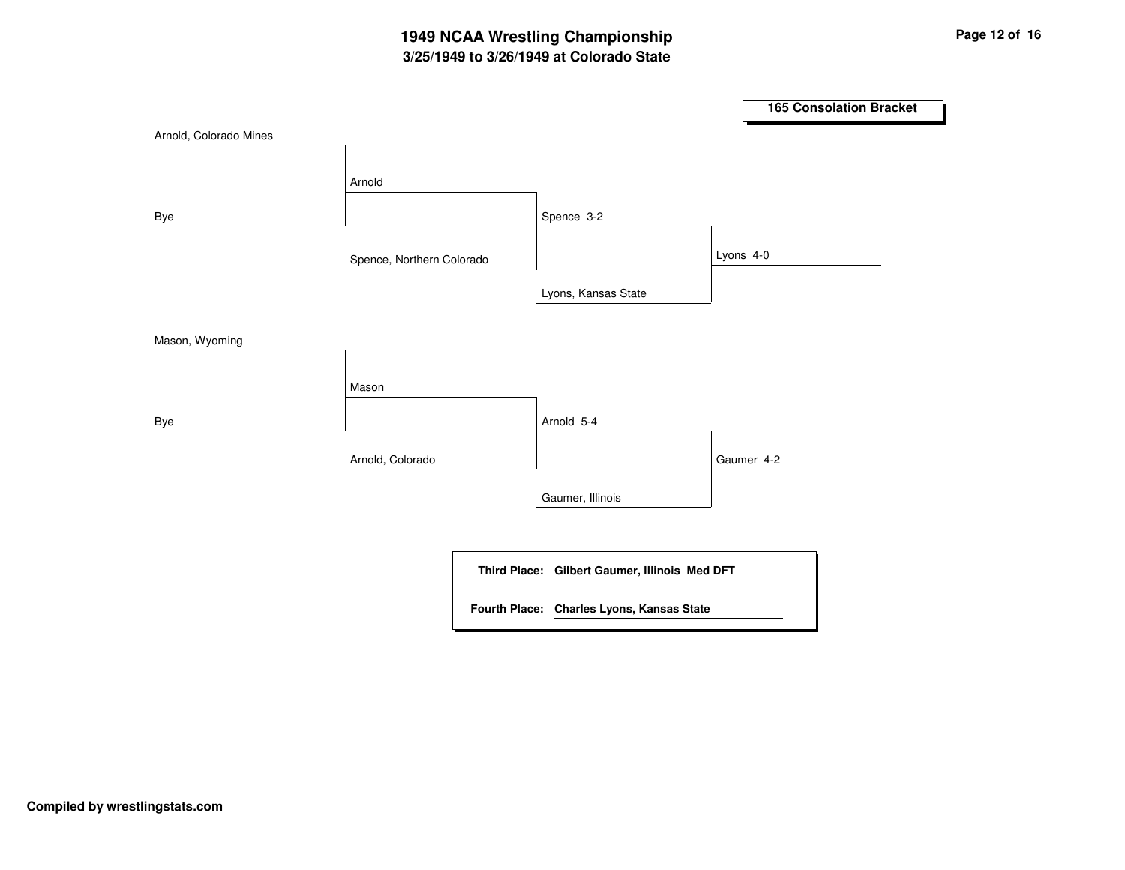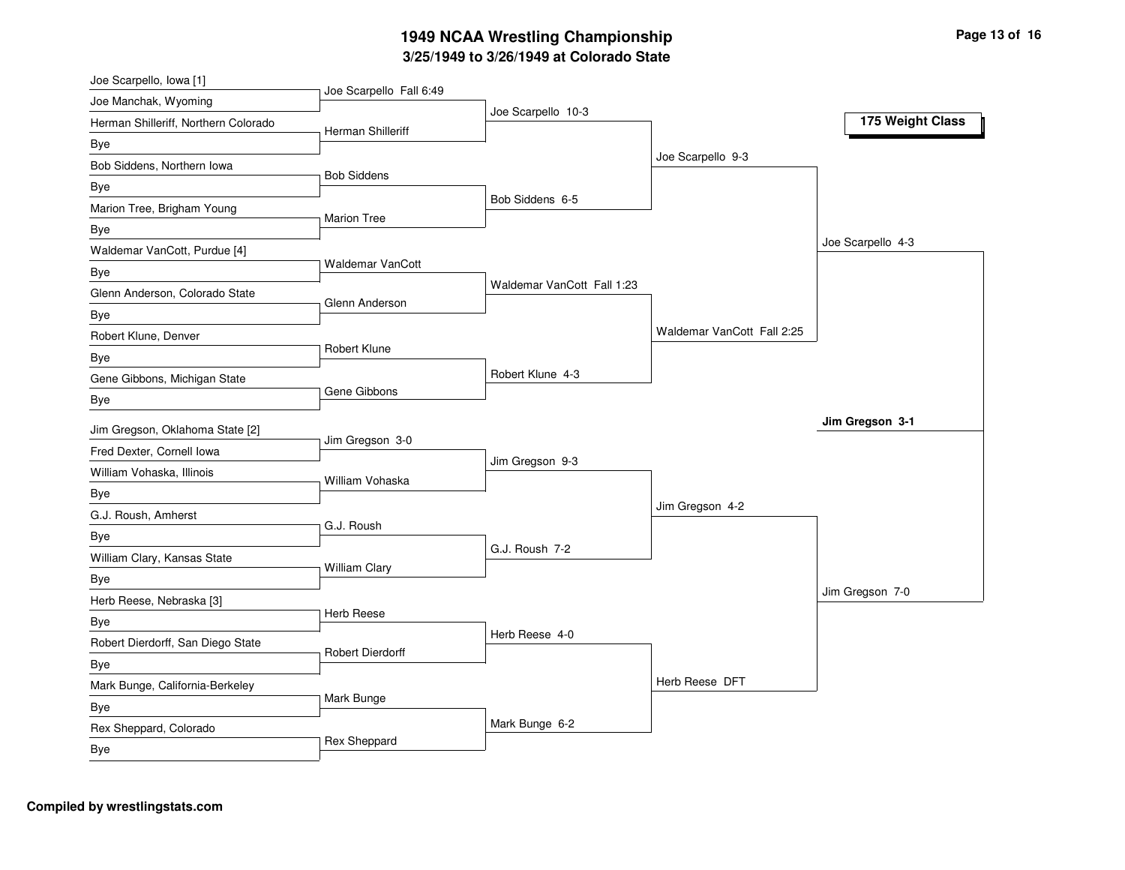## **3/2 5/19 4 9 to 3/2 6/19 4 9 at C olora d o State 19 4 9 N C A A Wre stlin g C h a m pio n s hip**

| Joe Scarpello, Iowa [1]              |                          |                            |                            |                   |
|--------------------------------------|--------------------------|----------------------------|----------------------------|-------------------|
| Joe Manchak, Wyoming                 | Joe Scarpello Fall 6:49  | Joe Scarpello 10-3         |                            |                   |
| Herman Shilleriff, Northern Colorado | <b>Herman Shilleriff</b> |                            |                            | 175 Weight Class  |
| Bye                                  |                          |                            |                            |                   |
| Bob Siddens, Northern Iowa           | <b>Bob Siddens</b>       |                            | Joe Scarpello 9-3          |                   |
| Bye                                  |                          |                            |                            |                   |
| Marion Tree, Brigham Young           | <b>Marion Tree</b>       | Bob Siddens 6-5            |                            |                   |
| <b>Bye</b>                           |                          |                            |                            |                   |
| Waldemar VanCott, Purdue [4]         |                          |                            |                            | Joe Scarpello 4-3 |
| Bye                                  | <b>Waldemar VanCott</b>  |                            |                            |                   |
| Glenn Anderson, Colorado State       | Glenn Anderson           | Waldemar VanCott Fall 1:23 |                            |                   |
| <b>Bye</b>                           |                          |                            |                            |                   |
| Robert Klune, Denver                 |                          |                            | Waldemar VanCott Fall 2:25 |                   |
| Bye                                  | Robert Klune             |                            |                            |                   |
| Gene Gibbons, Michigan State         |                          | Robert Klune 4-3           |                            |                   |
| Bye                                  | Gene Gibbons             |                            |                            |                   |
| Jim Gregson, Oklahoma State [2]      |                          |                            |                            | Jim Gregson 3-1   |
| Fred Dexter, Cornell Iowa            | Jim Gregson 3-0          |                            |                            |                   |
| William Vohaska, Illinois            |                          | Jim Gregson 9-3            |                            |                   |
| Bye                                  | William Vohaska          |                            |                            |                   |
| G.J. Roush, Amherst                  |                          |                            | Jim Gregson 4-2            |                   |
| <b>Bye</b>                           | G.J. Roush               |                            |                            |                   |
| William Clary, Kansas State          |                          | G.J. Roush 7-2             |                            |                   |
| <b>Bye</b>                           | <b>William Clary</b>     |                            |                            |                   |
| Herb Reese, Nebraska [3]             |                          |                            |                            | Jim Gregson 7-0   |
| <b>Bye</b>                           | <b>Herb Reese</b>        |                            |                            |                   |
| Robert Dierdorff, San Diego State    |                          | Herb Reese 4-0             |                            |                   |
| <b>Bye</b>                           | <b>Robert Dierdorff</b>  |                            |                            |                   |
| Mark Bunge, California-Berkeley      |                          |                            | Herb Reese DFT             |                   |
| Bye                                  | Mark Bunge               |                            |                            |                   |
| Rex Sheppard, Colorado               |                          | Mark Bunge 6-2             |                            |                   |
| Bye                                  | Rex Sheppard             |                            |                            |                   |
|                                      |                          |                            |                            |                   |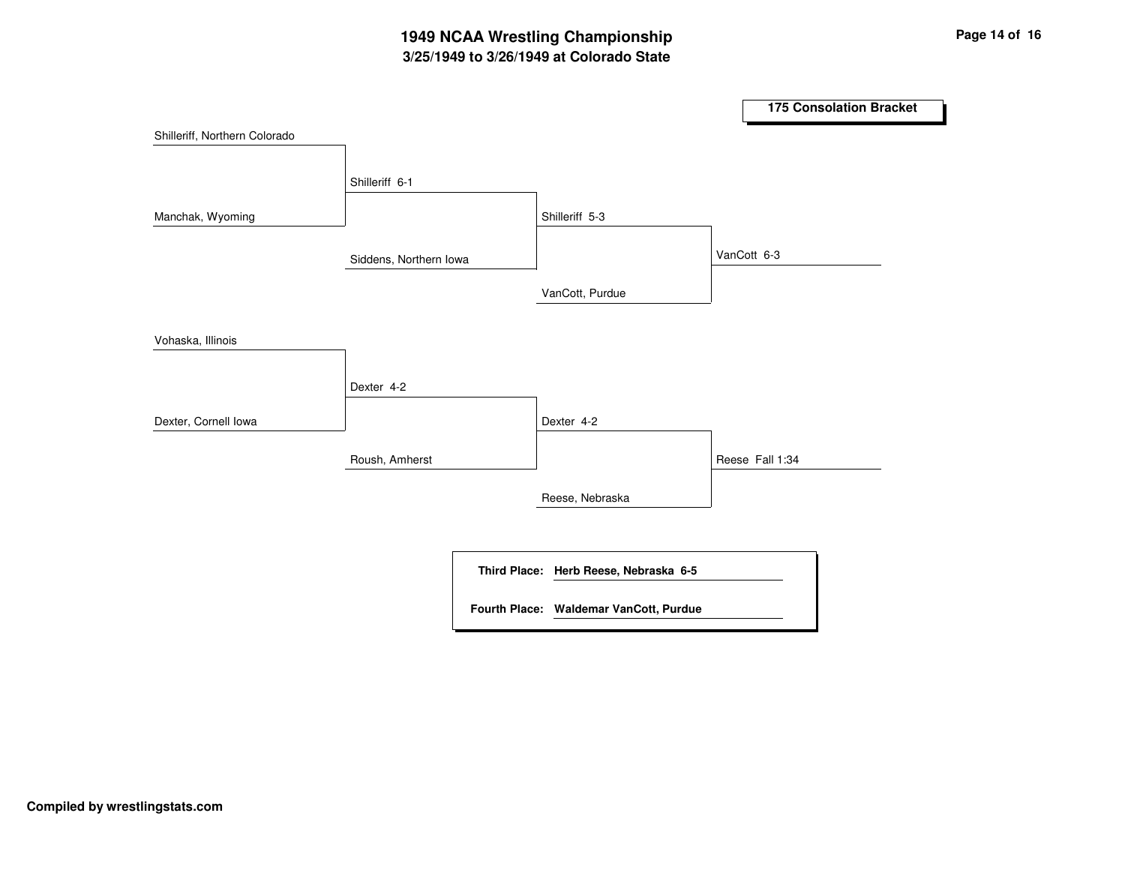#### **3/25/1949 to 3/26/1949 at Colorado State 1949 NCAA Wrestling Championship Page <sup>14</sup> of <sup>16</sup>**

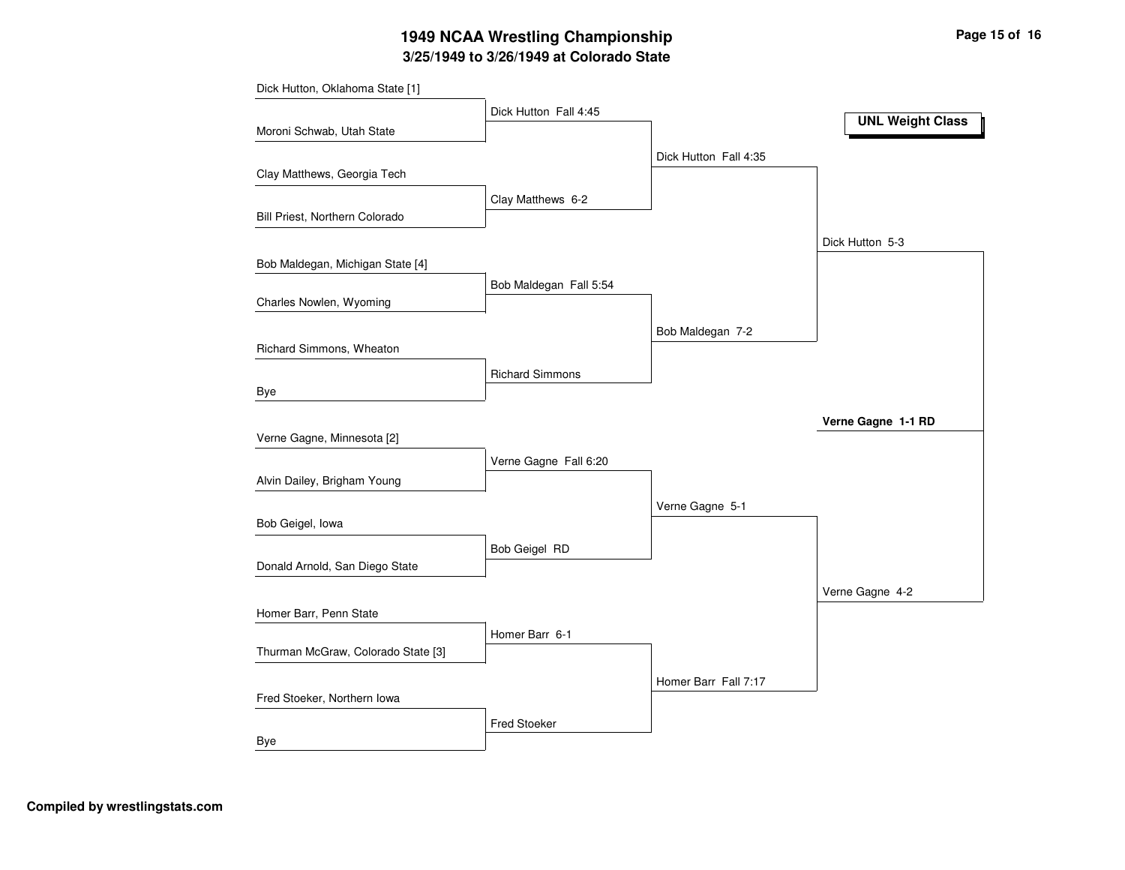# **3/25/1949 to 3/26/1949 at Colorado State 1949 NCAA Wrestling Championship Page <sup>15</sup> of <sup>16</sup>**

| Dick Hutton, Oklahoma State [1]    |                        |                       |                         |
|------------------------------------|------------------------|-----------------------|-------------------------|
|                                    | Dick Hutton Fall 4:45  |                       | <b>UNL Weight Class</b> |
| Moroni Schwab, Utah State          |                        |                       |                         |
|                                    |                        | Dick Hutton Fall 4:35 |                         |
| Clay Matthews, Georgia Tech        |                        |                       |                         |
|                                    | Clay Matthews 6-2      |                       |                         |
| Bill Priest, Northern Colorado     |                        |                       |                         |
|                                    |                        |                       | Dick Hutton 5-3         |
| Bob Maldegan, Michigan State [4]   |                        |                       |                         |
| Charles Nowlen, Wyoming            | Bob Maldegan Fall 5:54 |                       |                         |
|                                    |                        |                       |                         |
| Richard Simmons, Wheaton           |                        | Bob Maldegan 7-2      |                         |
|                                    | <b>Richard Simmons</b> |                       |                         |
| Bye                                |                        |                       |                         |
|                                    |                        |                       | Verne Gagne 1-1 RD      |
| Verne Gagne, Minnesota [2]         |                        |                       |                         |
|                                    | Verne Gagne Fall 6:20  |                       |                         |
| Alvin Dailey, Brigham Young        |                        |                       |                         |
|                                    |                        | Verne Gagne 5-1       |                         |
| Bob Geigel, Iowa                   |                        |                       |                         |
|                                    | Bob Geigel RD          |                       |                         |
| Donald Arnold, San Diego State     |                        |                       |                         |
|                                    |                        |                       | Verne Gagne 4-2         |
| Homer Barr, Penn State             |                        |                       |                         |
| Thurman McGraw, Colorado State [3] | Homer Barr 6-1         |                       |                         |
|                                    |                        |                       |                         |
|                                    |                        | Homer Barr Fall 7:17  |                         |
| Fred Stoeker, Northern Iowa        |                        |                       |                         |
| Bye                                | <b>Fred Stoeker</b>    |                       |                         |
|                                    |                        |                       |                         |